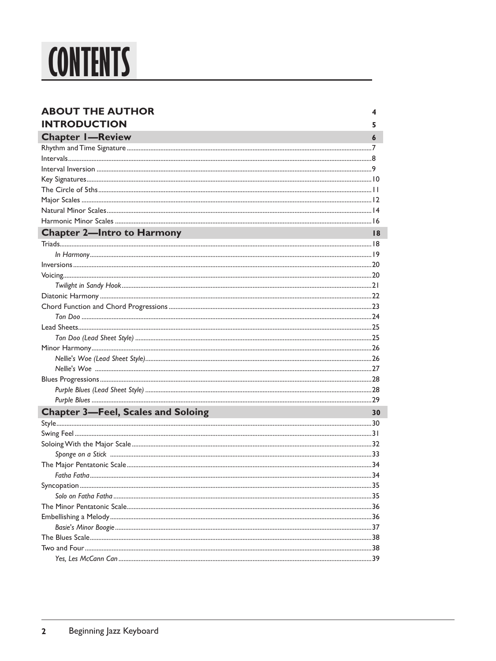# CONTENTS

| <b>ABOUT THE AUTHOR</b>                   | 4               |
|-------------------------------------------|-----------------|
| <b>INTRODUCTION</b>                       | 5.              |
| <b>Chapter I-Review</b>                   | 6               |
|                                           |                 |
|                                           |                 |
|                                           |                 |
|                                           |                 |
|                                           |                 |
|                                           |                 |
|                                           |                 |
|                                           |                 |
| <b>Chapter 2-Intro to Harmony</b>         | $\overline{18}$ |
|                                           |                 |
|                                           |                 |
|                                           |                 |
|                                           |                 |
|                                           |                 |
|                                           |                 |
|                                           |                 |
|                                           |                 |
|                                           |                 |
|                                           |                 |
|                                           |                 |
|                                           |                 |
|                                           |                 |
|                                           |                 |
|                                           |                 |
|                                           |                 |
| <b>Chapter 3-Feel, Scales and Soloing</b> | 30              |
|                                           |                 |
|                                           |                 |
|                                           |                 |
|                                           |                 |
|                                           |                 |
|                                           |                 |
|                                           |                 |
|                                           |                 |
|                                           |                 |
|                                           |                 |
|                                           |                 |
|                                           |                 |
|                                           |                 |
|                                           |                 |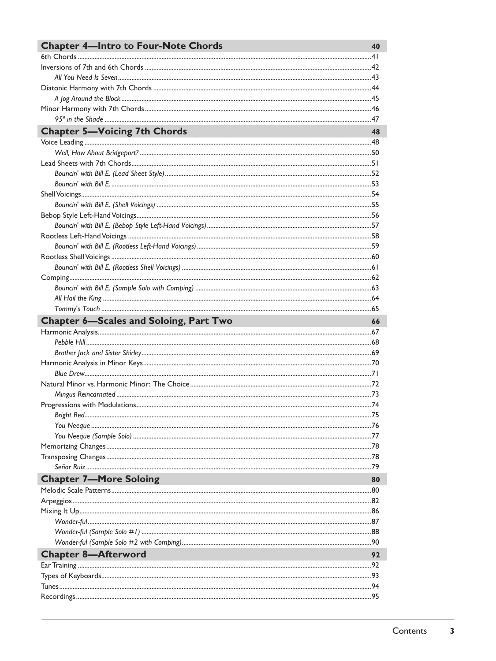| <b>Chapter 4-Intro to Four-Note Chords</b>                                                                                                                   | 40 |
|--------------------------------------------------------------------------------------------------------------------------------------------------------------|----|
|                                                                                                                                                              |    |
|                                                                                                                                                              |    |
|                                                                                                                                                              |    |
|                                                                                                                                                              |    |
|                                                                                                                                                              |    |
|                                                                                                                                                              |    |
|                                                                                                                                                              |    |
| <b>Chapter 5-Voicing 7th Chords</b><br><u> 1990 - Johann Barn, mars ann an t-Amhain an t-Amhain an t-Amhain an t-Amhain an t-Amhain an t-Amhain an t-Amh</u> | 48 |
|                                                                                                                                                              |    |
|                                                                                                                                                              |    |
|                                                                                                                                                              |    |
|                                                                                                                                                              |    |
|                                                                                                                                                              |    |
|                                                                                                                                                              |    |
|                                                                                                                                                              |    |
|                                                                                                                                                              |    |
|                                                                                                                                                              |    |
|                                                                                                                                                              |    |
|                                                                                                                                                              |    |
|                                                                                                                                                              |    |
|                                                                                                                                                              |    |
|                                                                                                                                                              |    |
|                                                                                                                                                              |    |
|                                                                                                                                                              |    |
|                                                                                                                                                              |    |
| <b>Chapter 6-Scales and Soloing, Part Two</b>                                                                                                                | 66 |
|                                                                                                                                                              |    |
|                                                                                                                                                              |    |
|                                                                                                                                                              |    |
|                                                                                                                                                              |    |
|                                                                                                                                                              |    |
|                                                                                                                                                              |    |
|                                                                                                                                                              |    |
|                                                                                                                                                              |    |
|                                                                                                                                                              |    |
|                                                                                                                                                              |    |
|                                                                                                                                                              |    |
|                                                                                                                                                              |    |
|                                                                                                                                                              |    |
|                                                                                                                                                              |    |
|                                                                                                                                                              |    |
| <b>Chapter 7-More Soloing</b>                                                                                                                                | 80 |
|                                                                                                                                                              |    |
|                                                                                                                                                              |    |
|                                                                                                                                                              |    |
|                                                                                                                                                              |    |
|                                                                                                                                                              |    |
|                                                                                                                                                              |    |
| <b>Chapter 8-Afterword</b>                                                                                                                                   | 92 |
|                                                                                                                                                              |    |
|                                                                                                                                                              |    |
|                                                                                                                                                              |    |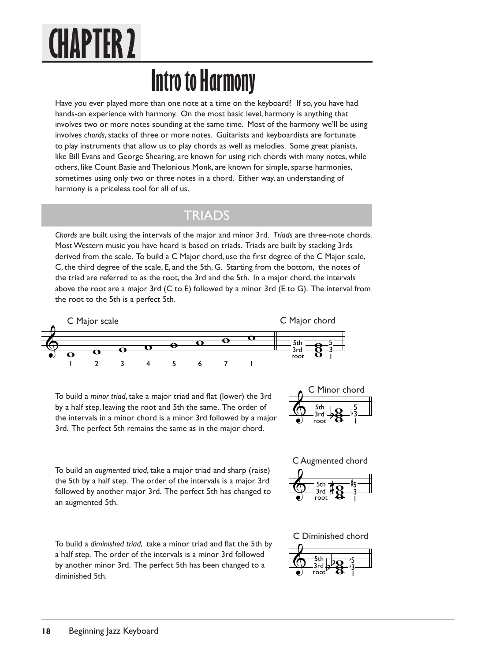## **CHAPTER 2**

## **Intro to Harmony**

Have you ever played more than one note at a time on the keyboard? If so, you have had hands-on experience with harmony. On the most basic level, harmony is anything that involves two or more notes sounding at the same time. Most of the harmony we'll be using involves *chords*, stacks of three or more notes. Guitarists and keyboardists are fortunate to play instruments that allow us to play chords as well as melodies. Some great pianists, like Bill Evans and George Shearing, are known for using rich chords with many notes, while others, like Count Basie and Thelonious Monk, are known for simple, sparse harmonies, sometimes using only two or three notes in a chord. Either way, an understanding of harmony is a priceless tool for all of us.

### **TRIADS**

*Chords* are built using the intervals of the major and minor 3rd. *Triads* are three-note chords. Most Western music you have heard is based on triads. Triads are built by stacking 3rds derived from the scale. To build a C Major chord, use the first degree of the C Major scale, C, the third degree of the scale, E, and the 5th, G. Starting from the bottom, the notes of the triad are referred to as the root, the 3rd and the 5th. In a major chord, the intervals above the root are a major 3rd (C to E) followed by a minor 3rd (E to G). The interval from the root to the 5th is a perfect 5th.



To build a *minor triad*, take a major triad and flat (lower) the 3rd by a half step, leaving the root and 5th the same. The order of the intervals in a minor chord is a minor 3rd followed by a major 3rd. The perfect 5th remains the same as in the major chord.



To build an *augmented triad*, take a major triad and sharp (raise) the 5th by a half step. The order of the intervals is a major 3rd followed by another major 3rd. The perfect 5th has changed to an augmented 5th.





To build a *diminished triad*, take a minor triad and flat the 5th by a half step. The order of the intervals is a minor 3rd followed by another minor 3rd. The perfect 5th has been changed to a diminished 5th.

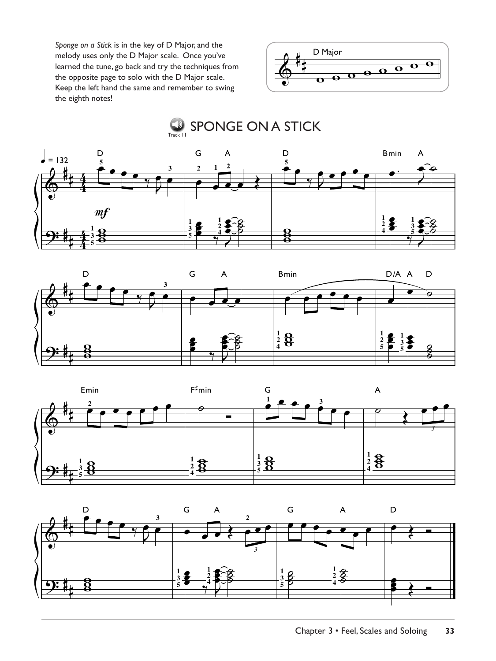*Sponge on a Stick* is in the key of D Major, and the melody uses only the D Major scale. Once you've learned the tune, go back and try the techniques from the opposite page to solo with the D Major scale. Keep the left hand the same and remember to swing the eighth notes!



#### $GFON$ 4 **EXAMPLE ON A STICK**